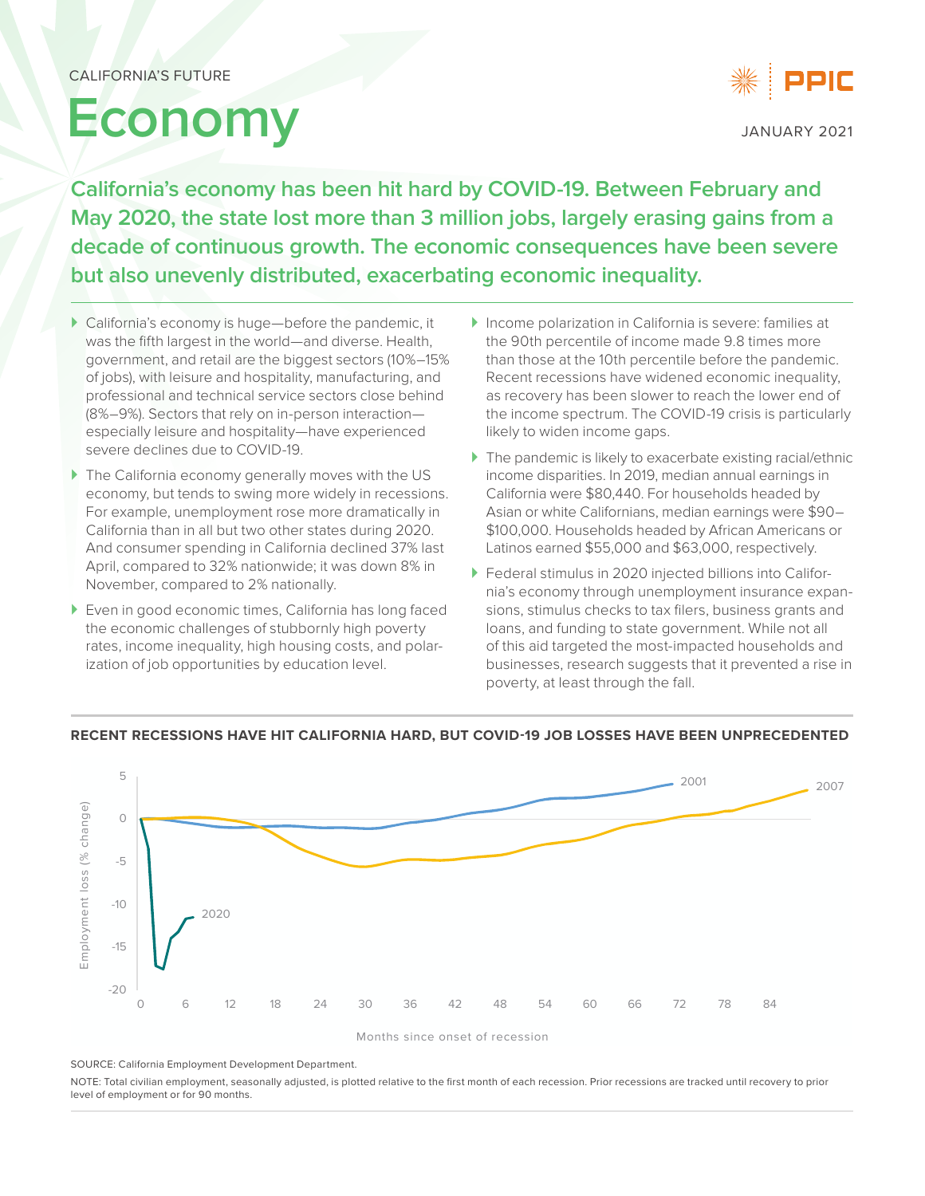# **Economy**



JANUARY 2021

**California's economy has been hit hard by COVID-19. Between February and May 2020, the state lost more than 3 million jobs, largely erasing gains from a decade of continuous growth. The economic consequences have been severe but also unevenly distributed, exacerbating economic inequality.**

- ` California's economy is huge—before the pandemic, it was the fifth largest in the world—and diverse. Health, government, and retail are the biggest sectors (10%–15% of jobs), with leisure and hospitality, manufacturing, and professional and technical service sectors close behind (8%–9%). Sectors that rely on in-person interaction especially leisure and hospitality—have experienced severe declines due to COVID-19.
- $\blacktriangleright$  The California economy generally moves with the US economy, but tends to swing more widely in recessions. For example, unemployment rose more dramatically in California than in all but two other states during 2020. And consumer spending in California declined 37% last April, compared to 32% nationwide; it was down 8% in November, compared to 2% nationally.
- ▶ Even in good economic times, California has long faced the economic challenges of stubbornly high poverty rates, income inequality, high housing costs, and polarization of job opportunities by education level.
- ` Income polarization in California is severe: families at the 90th percentile of income made 9.8 times more than those at the 10th percentile before the pandemic. Recent recessions have widened economic inequality, as recovery has been slower to reach the lower end of the income spectrum. The COVID-19 crisis is particularly likely to widen income gaps.
- $\blacktriangleright$  The pandemic is likely to exacerbate existing racial/ethnic income disparities. In 2019, median annual earnings in California were \$80,440. For households headed by Asian or white Californians, median earnings were \$90– \$100,000. Households headed by African Americans or Latinos earned \$55,000 and \$63,000, respectively.
- ` Federal stimulus in 2020 injected billions into California's economy through unemployment insurance expansions, stimulus checks to tax filers, business grants and loans, and funding to state government. While not all of this aid targeted the most-impacted households and businesses, research suggests that it prevented a rise in poverty, at least through the fall.



#### **RECENT RECESSIONS HAVE HIT CALIFORNIA HARD, BUT COVID-19 JOB LOSSES HAVE BEEN UNPRECEDENTED**

SOURCE: California Employment Development Department.

NOTE: Total civilian employment, seasonally adjusted, is plotted relative to the first month of each recession. Prior recessions are tracked until recovery to prior level of employment or for 90 months.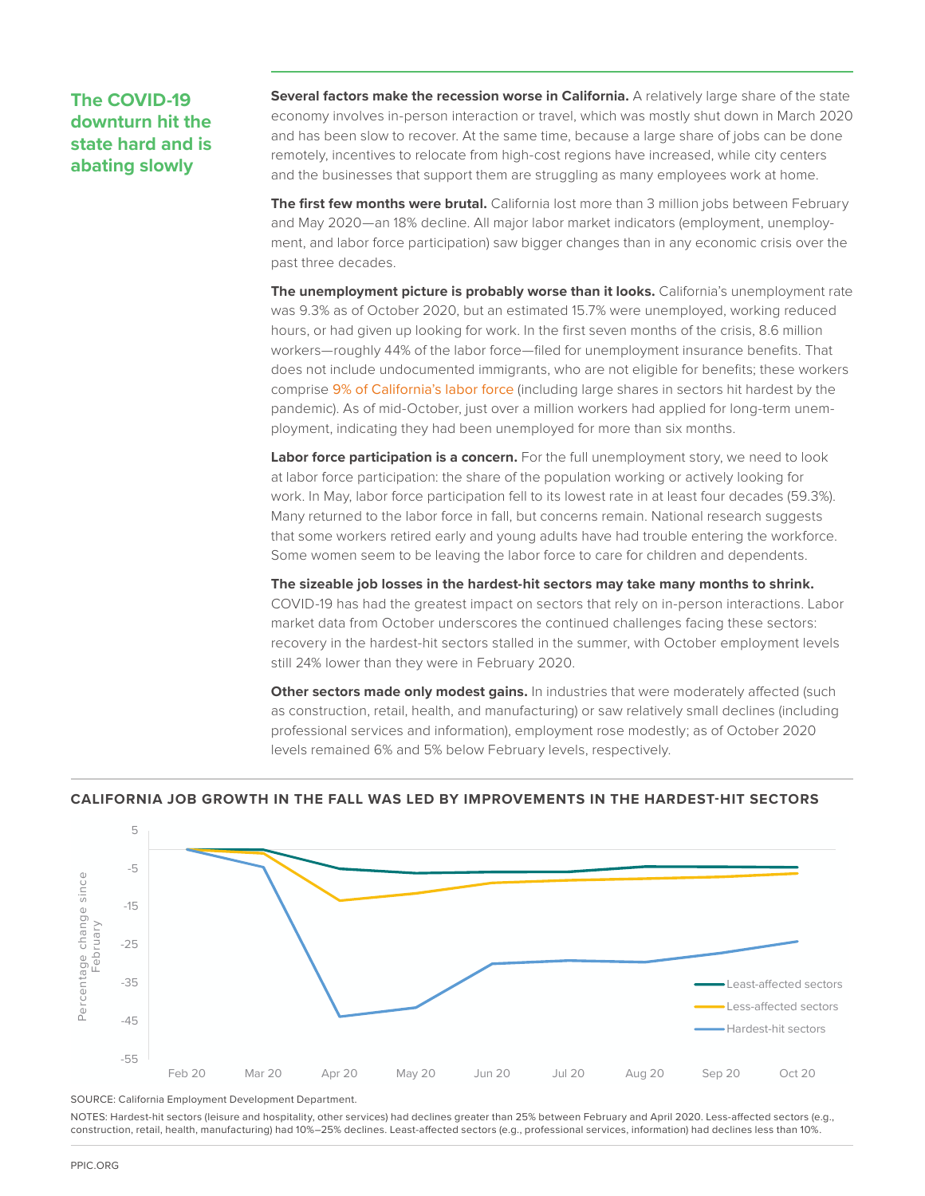# **The COVID-19 downturn hit the state hard and is abating slowly**

**Several factors make the recession worse in California.** A relatively large share of the state economy involves in-person interaction or travel, which was mostly shut down in March 2020 and has been slow to recover. At the same time, because a large share of jobs can be done remotely, incentives to relocate from high-cost regions have increased, while city centers and the businesses that support them are struggling as many employees work at home.

**The first few months were brutal.** California lost more than 3 million jobs between February and May 2020—an 18% decline. All major labor market indicators (employment, unemployment, and labor force participation) saw bigger changes than in any economic crisis over the past three decades.

**The unemployment picture is probably worse than it looks.** California's unemployment rate was 9.3% as of October 2020, but an estimated 15.7% were unemployed, working reduced hours, or had given up looking for work. In the first seven months of the crisis, 8.6 million workers—roughly 44% of the labor force—filed for unemployment insurance benefits. That does not include undocumented immigrants, who are not eligible for benefits; these workers comprise [9% of California's labor force](https://www.ppic.org/publication/undocumented-immigrants-in-california/) (including large shares in sectors hit hardest by the pandemic). As of mid-October, just over a million workers had applied for long-term unemployment, indicating they had been unemployed for more than six months.

**Labor force participation is a concern.** For the full unemployment story, we need to look at labor force participation: the share of the population working or actively looking for work. In May, labor force participation fell to its lowest rate in at least four decades (59.3%). Many returned to the labor force in fall, but concerns remain. National research suggests that some workers retired early and young adults have had trouble entering the workforce. Some women seem to be leaving the labor force to care for children and dependents.

**The sizeable job losses in the hardest-hit sectors may take many months to shrink.**  COVID-19 has had the greatest impact on sectors that rely on in-person interactions. Labor market data from October underscores the continued challenges facing these sectors: recovery in the hardest-hit sectors stalled in the summer, with October employment levels still 24% lower than they were in February 2020.

**Other sectors made only modest gains.** In industries that were moderately affected (such as construction, retail, health, and manufacturing) or saw relatively small declines (including professional services and information), employment rose modestly; as of October 2020 levels remained 6% and 5% below February levels, respectively.



#### **CALIFORNIA JOB GROWTH IN THE FALL WAS LED BY IMPROVEMENTS IN THE HARDEST-HIT SECTORS**

SOURCE: California Employment Development Department.

NOTES: Hardest-hit sectors (leisure and hospitality, other services) had declines greater than 25% between February and April 2020. Less-affected sectors (e.g., construction, retail, health, manufacturing) had 10%–25% declines. Least-affected sectors (e.g., professional services, information) had declines less than 10%.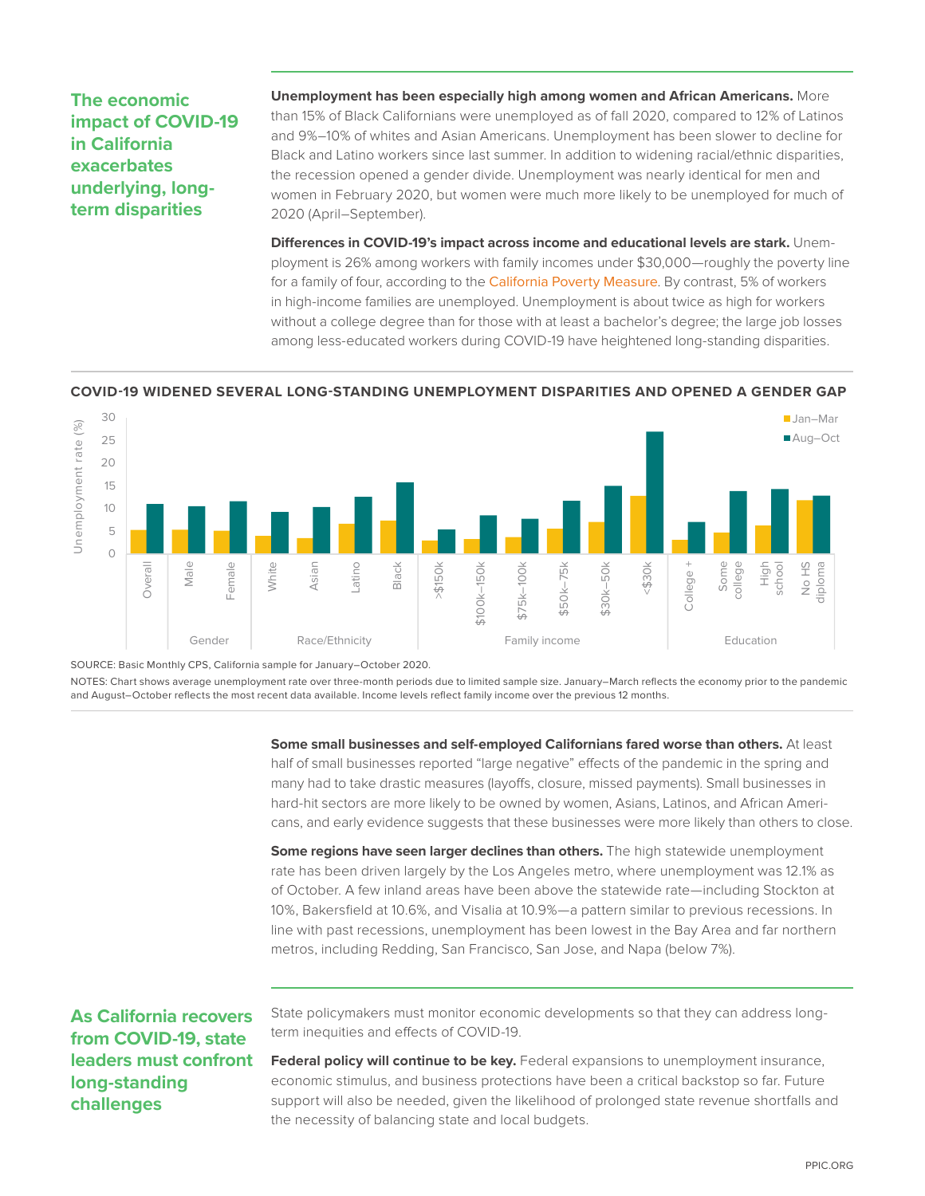### **The economic impact of COVID-19 in California exacerbates underlying, longterm disparities**

**Unemployment has been especially high among women and African Americans.** More than 15% of Black Californians were unemployed as of fall 2020, compared to 12% of Latinos and 9%–10% of whites and Asian Americans. Unemployment has been slower to decline for Black and Latino workers since last summer. In addition to widening racial/ethnic disparities, the recession opened a gender divide. Unemployment was nearly identical for men and women in February 2020, but women were much more likely to be unemployed for much of 2020 (April–September).

**Differences in COVID-19's impact across income and educational levels are stark.** Unemployment is 26% among workers with family incomes under \$30,000—roughly the poverty line for a family of four, according to the [California Poverty Measure](https://www.ppic.org/publication/poverty-in-california/). By contrast, 5% of workers in high-income families are unemployed. Unemployment is about twice as high for workers without a college degree than for those with at least a bachelor's degree; the large job losses among less-educated workers during COVID-19 have heightened long-standing disparities.

#### **COVID-19 WIDENED SEVERAL LONG-STANDING UNEMPLOYMENT DISPARITIES AND OPENED A GENDER GAP**



SOURCE: Basic Monthly CPS, California sample for January–October 2020.

NOTES: Chart shows average unemployment rate over three-month periods due to limited sample size. January–March reflects the economy prior to the pandemic and August–October reflects the most recent data available. Income levels reflect family income over the previous 12 months.

> **Some small businesses and self-employed Californians fared worse than others.** At least half of small businesses reported "large negative" effects of the pandemic in the spring and many had to take drastic measures (layoffs, closure, missed payments). Small businesses in hard-hit sectors are more likely to be owned by women, Asians, Latinos, and African Americans, and early evidence suggests that these businesses were more likely than others to close.

**Some regions have seen larger declines than others.** The high statewide unemployment rate has been driven largely by the Los Angeles metro, where unemployment was 12.1% as of October. A few inland areas have been above the statewide rate—including Stockton at 10%, Bakersfield at 10.6%, and Visalia at 10.9%—a pattern similar to previous recessions. In line with past recessions, unemployment has been lowest in the Bay Area and far northern metros, including Redding, San Francisco, San Jose, and Napa (below 7%).

## **As California recovers from COVID-19, state leaders must confront long-standing challenges**

State policymakers must monitor economic developments so that they can address longterm inequities and effects of COVID-19.

**Federal policy will continue to be key.** Federal expansions to unemployment insurance, economic stimulus, and business protections have been a critical backstop so far. Future support will also be needed, given the likelihood of prolonged state revenue shortfalls and the necessity of balancing state and local budgets.